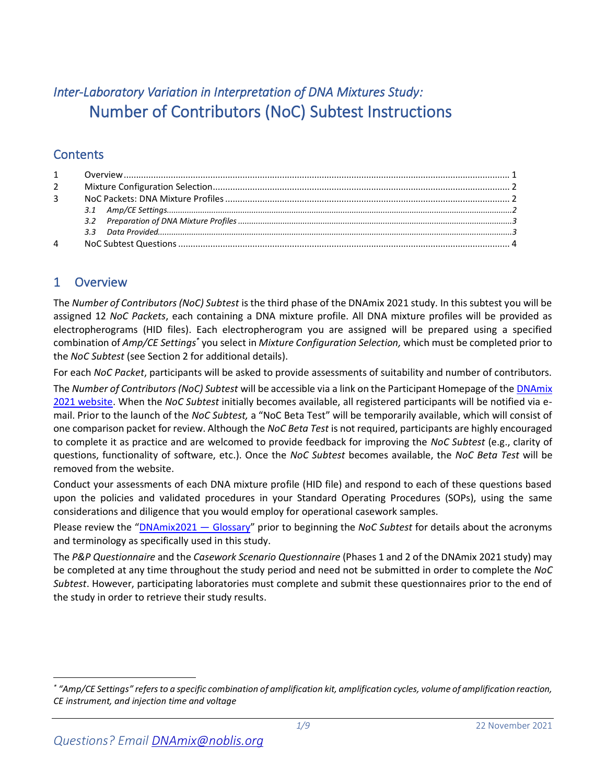# *Inter-Laboratory Variation in Interpretation of DNA Mixtures Study:*  Number of Contributors (NoC) Subtest Instructions

# **Contents**

| $2^{\circ}$    |  |
|----------------|--|
| 3 <sup>7</sup> |  |
|                |  |
|                |  |
|                |  |
| 4              |  |

# 1 Overview

The *Number of Contributors (NoC) Subtest* is the third phase of the DNAmix 2021 study. In this subtest you will be assigned 12 *NoC Packets*, each containing a DNA mixture profile. All DNA mixture profiles will be provided as electropherograms (HID files). Each electropherogram you are assigned will be prepared using a specified combination of *Amp/CE Settings\** you select in *Mixture Configuration Selection,* which must be completed prior to the *NoC Subtest* (see Sectio[n 2](#page-1-0) for additional details).

For each *NoC Packet*, participants will be asked to provide assessments of suitability and number of contributors.

The *Number of Contributors (NoC) Subtest* will be accessible via a link on the Participant Homepage of th[e DNAmix](https://dnamix.edgeaws.noblis.org/) [2021 website.](https://dnamix.edgeaws.noblis.org/) When the *NoC Subtest* initially becomes available, all registered participants will be notified via email. Prior to the launch of the *NoC Subtest,* a "NoC Beta Test" will be temporarily available, which will consist of one comparison packet for review. Although the *NoC Beta Test* is not required, participants are highly encouraged to complete it as practice and are welcomed to provide feedback for improving the *NoC Subtest* (e.g., clarity of questions, functionality of software, etc.). Once the *NoC Subtest* becomes available, the *NoC Beta Test* will be removed from the website.

Conduct your assessments of each DNA mixture profile (HID file) and respond to each of these questions based upon the policies and validated procedures in your Standard Operating Procedures (SOPs), using the same considerations and diligence that you would employ for operational casework samples.

Please review the "[DNAmix2021](https://dnamix.edgeaws.noblis.org/DNAMix_Glossary.pdf) — Glossary" prior to beginning the *NoC Subtest* for details about the acronyms and terminology as specifically used in this study.

The *P&P Questionnaire* and the *Casework Scenario Questionnaire* (Phases 1 and 2 of the DNAmix 2021 study) may be completed at any time throughout the study period and need not be submitted in order to complete the *NoC Subtest*. However, participating laboratories must complete and submit these questionnaires prior to the end of the study in order to retrieve their study results.

*<sup>\*</sup> "Amp/CE Settings" refers to a specific combination of amplification kit, amplification cycles, volume of amplification reaction, CE instrument, and injection time and voltage*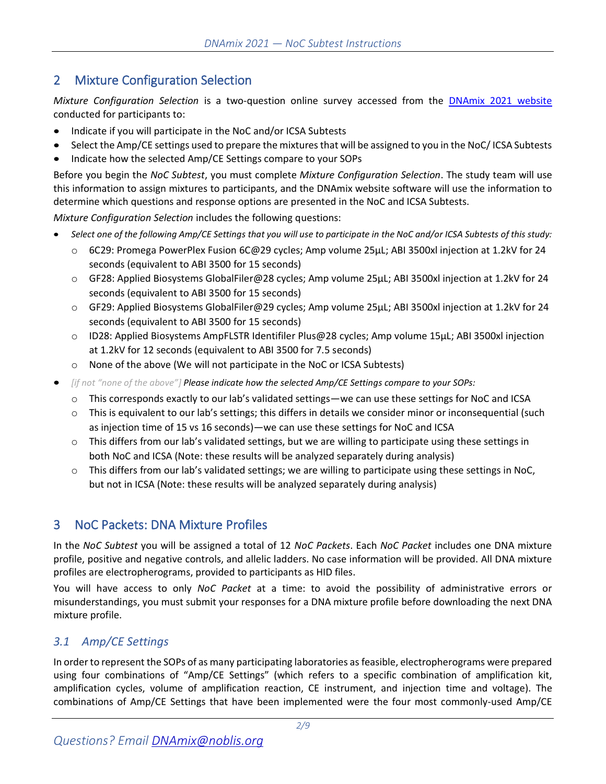# <span id="page-1-0"></span>2 Mixture Configuration Selection

*Mixture Configuration Selection* is a two-question online survey accessed from the DNAmix [2021 website](https://dnamix.edgeaws.noblis.org/) conducted for participants to:

- Indicate if you will participate in the NoC and/or ICSA Subtests
- Select the Amp/CE settings used to prepare the mixtures that will be assigned to you in the NoC/ ICSA Subtests
- Indicate how the selected Amp/CE Settings compare to your SOPs

Before you begin the *NoC Subtest*, you must complete *Mixture Configuration Selection*. The study team will use this information to assign mixtures to participants, and the DNAmix website software will use the information to determine which questions and response options are presented in the NoC and ICSA Subtests.

*Mixture Configuration Selection* includes the following questions:

- *Select one of the following Amp/CE Settings that you will use to participate in the NoC and/or ICSA Subtests of this study:*
	- o 6C29: Promega PowerPlex Fusion 6C@29 cycles; Amp volume 25µL; ABI 3500xl injection at 1.2kV for 24 seconds (equivalent to ABI 3500 for 15 seconds)
	- o GF28: Applied Biosystems GlobalFiler@28 cycles; Amp volume 25µL; ABI 3500xl injection at 1.2kV for 24 seconds (equivalent to ABI 3500 for 15 seconds)
	- o GF29: Applied Biosystems GlobalFiler@29 cycles; Amp volume 25µL; ABI 3500xl injection at 1.2kV for 24 seconds (equivalent to ABI 3500 for 15 seconds)
	- o ID28: Applied Biosystems AmpFLSTR Identifiler Plus@28 cycles; Amp volume 15µL; ABI 3500xl injection at 1.2kV for 12 seconds (equivalent to ABI 3500 for 7.5 seconds)
	- o None of the above (We will not participate in the NoC or ICSA Subtests)
- *[if not "none of the above"] Please indicate how the selected Amp/CE Settings compare to your SOPs:*
	- o This corresponds exactly to our lab's validated settings—we can use these settings for NoC and ICSA
	- o This is equivalent to our lab's settings; this differs in details we consider minor or inconsequential (such as injection time of 15 vs 16 seconds)—we can use these settings for NoC and ICSA
	- o This differs from our lab's validated settings, but we are willing to participate using these settings in both NoC and ICSA (Note: these results will be analyzed separately during analysis)
	- $\circ$  This differs from our lab's validated settings; we are willing to participate using these settings in NoC, but not in ICSA (Note: these results will be analyzed separately during analysis)

# 3 NoC Packets: DNA Mixture Profiles

In the *NoC Subtest* you will be assigned a total of 12 *NoC Packets*. Each *NoC Packet* includes one DNA mixture profile, positive and negative controls, and allelic ladders. No case information will be provided. All DNA mixture profiles are electropherograms, provided to participants as HID files.

You will have access to only *NoC Packet* at a time: to avoid the possibility of administrative errors or misunderstandings, you must submit your responses for a DNA mixture profile before downloading the next DNA mixture profile.

# *3.1 Amp/CE Settings*

In order to represent the SOPs of as many participating laboratories as feasible, electropherograms were prepared using four combinations of "Amp/CE Settings" (which refers to a specific combination of amplification kit, amplification cycles, volume of amplification reaction, CE instrument, and injection time and voltage). The combinations of Amp/CE Settings that have been implemented were the four most commonly-used Amp/CE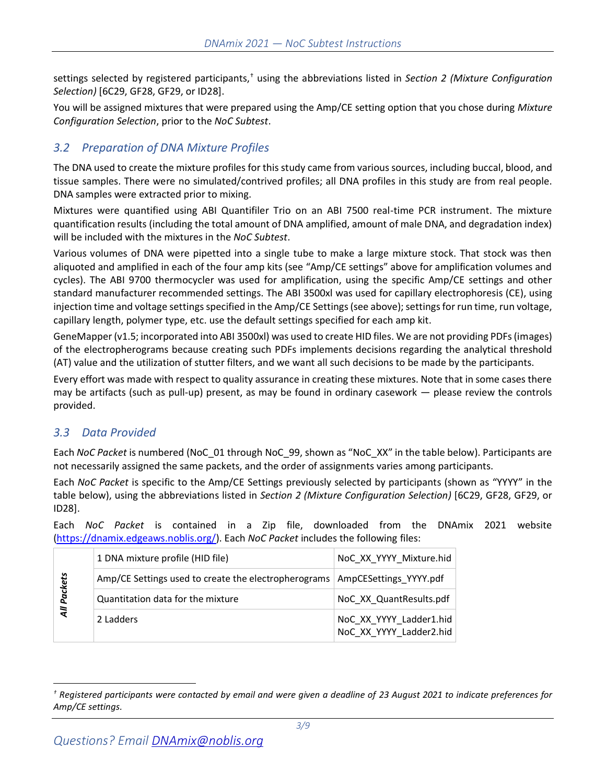settings selected by registered participants,† using the abbreviations listed in *Section [2](#page-1-0) [\(Mixture Configuration](#page-1-0)  [Selection\)](#page-1-0)* [6C29, GF28, GF29, or ID28].

You will be assigned mixtures that were prepared using the Amp/CE setting option that you chose during *Mixture Configuration Selection*, prior to the *NoC Subtest*.

# *3.2 Preparation of DNA Mixture Profiles*

The DNA used to create the mixture profiles for this study came from various sources, including buccal, blood, and tissue samples. There were no simulated/contrived profiles; all DNA profiles in this study are from real people. DNA samples were extracted prior to mixing.

Mixtures were quantified using ABI Quantifiler Trio on an ABI 7500 real-time PCR instrument. The mixture quantification results (including the total amount of DNA amplified, amount of male DNA, and degradation index) will be included with the mixtures in the *NoC Subtest*.

Various volumes of DNA were pipetted into a single tube to make a large mixture stock. That stock was then aliquoted and amplified in each of the four amp kits (see "Amp/CE settings" above for amplification volumes and cycles). The ABI 9700 thermocycler was used for amplification, using the specific Amp/CE settings and other standard manufacturer recommended settings. The ABI 3500xl was used for capillary electrophoresis (CE), using injection time and voltage settings specified in the Amp/CE Settings (see above); settings for run time, run voltage, capillary length, polymer type, etc. use the default settings specified for each amp kit.

GeneMapper (v1.5; incorporated into ABI 3500xl) was used to create HID files. We are not providing PDFs (images) of the electropherograms because creating such PDFs implements decisions regarding the analytical threshold (AT) value and the utilization of stutter filters, and we want all such decisions to be made by the participants.

Every effort was made with respect to quality assurance in creating these mixtures. Note that in some cases there may be artifacts (such as pull-up) present, as may be found in ordinary casework — please review the controls provided.

## *3.3 Data Provided*

Each *NoC Packet* is numbered (NoC\_01 through NoC\_99, shown as "NoC\_XX" in the table below). Participants are not necessarily assigned the same packets, and the order of assignments varies among participants.

Each *NoC Packet* is specific to the Amp/CE Settings previously selected by participants (shown as "YYYY" in the table below), using the abbreviations listed in *Section [2](#page-1-0) [\(Mixture Configuration Selection\)](#page-1-0)* [6C29, GF28, GF29, or ID28].

Each *NoC Packet* is contained in a Zip file, downloaded from the DNAmix 2021 website [\(https://dnamix.edgeaws.noblis.org/\)](https://dnamix.edgeaws.noblis.org/). Each *NoC Packet* includes the following files:

|         | 1 DNA mixture profile (HID file)                     | NoC XX YYYY Mixture.hid                            |
|---------|------------------------------------------------------|----------------------------------------------------|
| Packets | Amp/CE Settings used to create the electropherograms | AmpCESettings_YYYY.pdf                             |
|         | Quantitation data for the mixture                    | NoC XX QuantResults.pdf                            |
| ξ       | 2 Ladders                                            | NoC_XX_YYYY_Ladder1.hid<br>NoC XX YYYY Ladder2.hid |

*<sup>†</sup> Registered participants were contacted by email and were given a deadline of 23 August 2021 to indicate preferences for Amp/CE settings.*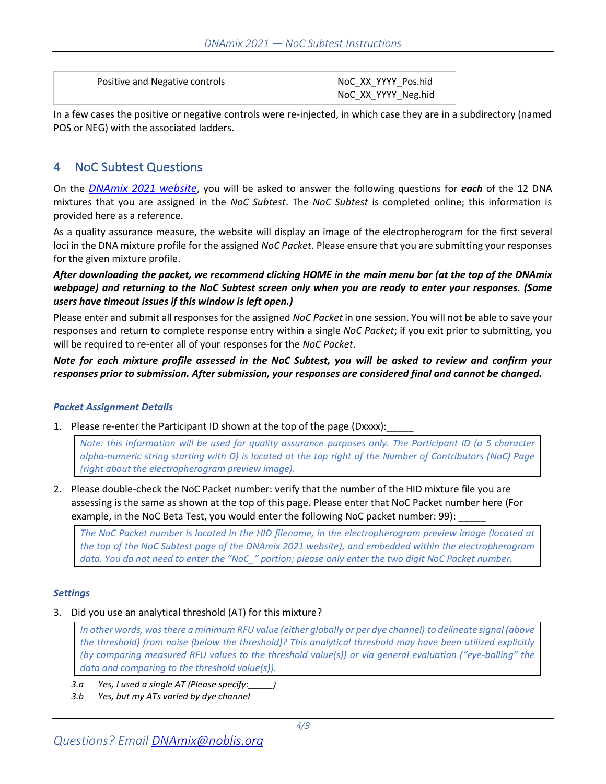| Positive and Negative controls | NoC XX YYYY Pos.hid<br>NoC_XX_YYYY_Neg.hid |  |
|--------------------------------|--------------------------------------------|--|
|                                |                                            |  |

In a few cases the positive or negative controls were re-injected, in which case they are in a subdirectory (named POS or NEG) with the associated ladders.

# 4 NoC Subtest Questions

On the *[DNAmix 2021 website](https://dnamix.edgeaws.noblis.org/)*, you will be asked to answer the following questions for *each* of the 12 DNA mixtures that you are assigned in the *NoC Subtest*. The *NoC Subtest* is completed online; this information is provided here as a reference.

As a quality assurance measure, the website will display an image of the electropherogram for the first several loci in the DNA mixture profile for the assigned *NoC Packet*. Please ensure that you are submitting your responses for the given mixture profile.

*After downloading the packet, we recommend clicking HOME in the main menu bar (at the top of the DNAmix webpage) and returning to the NoC Subtest screen only when you are ready to enter your responses. (Some users have timeout issues if this window is left open.)*

Please enter and submit all responses for the assigned *NoC Packet* in one session. You will not be able to save your responses and return to complete response entry within a single *NoC Packet*; if you exit prior to submitting, you will be required to re-enter all of your responses for the *NoC Packet*.

*Note for each mixture profile assessed in the NoC Subtest, you will be asked to review and confirm your responses prior to submission. After submission, your responses are considered final and cannot be changed.*

### *Packet Assignment Details*

1. Please re-enter the Participant ID shown at the top of the page (Dxxxx):

*Note: this information will be used for quality assurance purposes only. The Participant ID (a 5 character alpha-numeric string starting with D) is located at the top right of the Number of Contributors (NoC) Page (right about the electropherogram preview image).*

2. Please double-check the NoC Packet number: verify that the number of the HID mixture file you are assessing is the same as shown at the top of this page. Please enter that NoC Packet number here (For example, in the NoC Beta Test, you would enter the following NoC packet number: 99):

*The NoC Packet number is located in the HID filename, in the electropherogram preview image (located at the top of the NoC Subtest page of the DNAmix 2021 website), and embedded within the electropherogram data. You do not need to enter the "NoC\_" portion; please only enter the two digit NoC Packet number.*

### *Settings*

3. Did you use an analytical threshold (AT) for this mixture?

*In other words, was there a minimum RFU value (either globally or per dye channel) to delineate signal (above the threshold) from noise (below the threshold)? This analytical threshold may have been utilized explicitly (by comparing measured RFU values to the threshold value(s)) or via general evaluation ("eye-balling" the data and comparing to the threshold value(s)).*

- *3.a Yes, I used a single AT (Please specify:\_\_\_\_\_)*
- *3.b Yes, but my ATs varied by dye channel*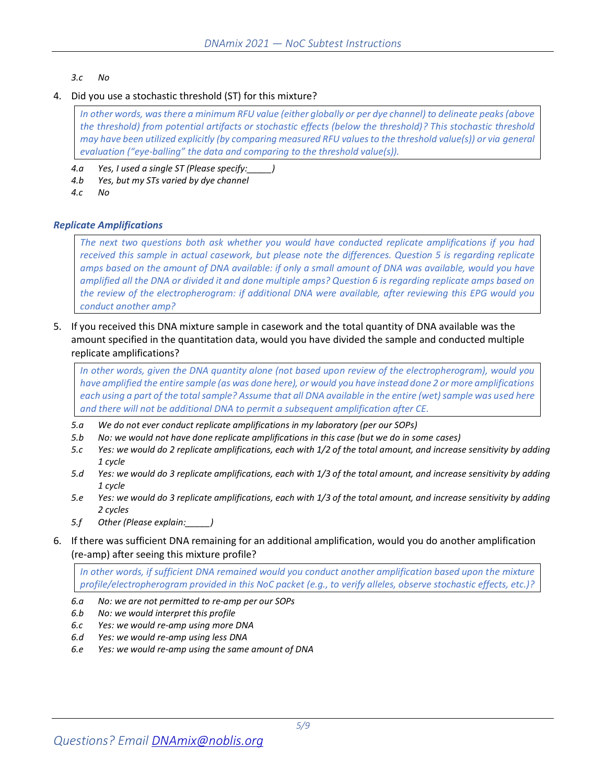### *3.c No*

### 4. Did you use a stochastic threshold (ST) for this mixture?

*In other words, was there a minimum RFU value (either globally or per dye channel) to delineate peaks (above the threshold) from potential artifacts or stochastic effects (below the threshold)? This stochastic threshold may have been utilized explicitly (by comparing measured RFU values to the threshold value(s)) or via general evaluation ("eye-balling" the data and comparing to the threshold value(s)).*

*4.a Yes, I used a single ST (Please specify:\_\_\_\_\_)*

- *4.b Yes, but my STs varied by dye channel*
- *4.c No*

### *Replicate Amplifications*

*The next two questions both ask whether you would have conducted replicate amplifications if you had received this sample in actual casework, but please note the differences. Question [5](#page-4-0) is regarding replicate amps based on the amount of DNA available: if only a small amount of DNA was available, would you have amplified all the DNA or divided it and done multiple amps? Questio[n 6](#page-4-1) is regarding replicate amps based on the review of the electropherogram: if additional DNA were available, after reviewing this EPG would you conduct another amp?*

<span id="page-4-0"></span>5. If you received this DNA mixture sample in casework and the total quantity of DNA available was the amount specified in the quantitation data, would you have divided the sample and conducted multiple replicate amplifications?

*In other words, given the DNA quantity alone (not based upon review of the electropherogram), would you have amplified the entire sample (as was done here), or would you have instead done 2 or more amplifications each using a part of the total sample? Assume that all DNA available in the entire (wet) sample was used here and there will not be additional DNA to permit a subsequent amplification after CE.*

- *5.a We do not ever conduct replicate amplifications in my laboratory (per our SOPs)*
- *5.b No: we would not have done replicate amplifications in this case (but we do in some cases)*
- *5.c Yes: we would do 2 replicate amplifications, each with 1/2 of the total amount, and increase sensitivity by adding 1 cycle*
- *5.d Yes: we would do 3 replicate amplifications, each with 1/3 of the total amount, and increase sensitivity by adding 1 cycle*
- *5.e Yes: we would do 3 replicate amplifications, each with 1/3 of the total amount, and increase sensitivity by adding 2 cycles*
- *5.f Other (Please explain:\_\_\_\_\_)*
- <span id="page-4-1"></span>6. If there was sufficient DNA remaining for an additional amplification, would you do another amplification (re-amp) after seeing this mixture profile?

*In other words, if sufficient DNA remained would you conduct another amplification based upon the mixture profile/electropherogram provided in this NoC packet (e.g., to verify alleles, observe stochastic effects, etc.)?*

- *6.a No: we are not permitted to re-amp per our SOPs*
- *6.b No: we would interpret this profile*
- *6.c Yes: we would re-amp using more DNA*
- *6.d Yes: we would re-amp using less DNA*
- *6.e Yes: we would re-amp using the same amount of DNA*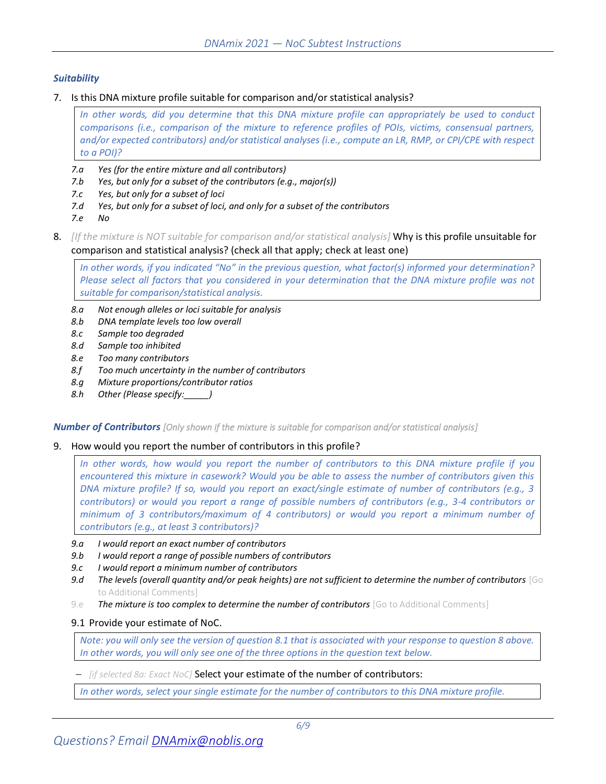### *Suitability*

7. Is this DNA mixture profile suitable for comparison and/or statistical analysis?

*In other words, did you determine that this DNA mixture profile can appropriately be used to conduct comparisons (i.e., comparison of the mixture to reference profiles of POIs, victims, consensual partners, and/or expected contributors) and/or statistical analyses (i.e., compute an LR, RMP, or CPI/CPE with respect to a POI)?*

- *7.a Yes (for the entire mixture and all contributors)*
- *7.b Yes, but only for a subset of the contributors (e.g., major(s))*
- *7.c Yes, but only for a subset of loci*
- *7.d Yes, but only for a subset of loci, and only for a subset of the contributors*
- *7.e No*
- 8. *[If the mixture is NOT suitable for comparison and/or statistical analysis]* Why is this profile unsuitable for comparison and statistical analysis? (check all that apply; check at least one)

*In other words, if you indicated "No" in the previous question, what factor(s) informed your determination? Please select all factors that you considered in your determination that the DNA mixture profile was not suitable for comparison/statistical analysis.*

- *8.a Not enough alleles or loci suitable for analysis*
- *8.b DNA template levels too low overall*
- *8.c Sample too degraded*
- *8.d Sample too inhibited*
- *8.e Too many contributors*
- *8.f Too much uncertainty in the number of contributors*
- *8.g Mixture proportions/contributor ratios*
- *8.h Other (Please specify:\_\_\_\_\_)*

*Number of Contributors [Only shown if the mixture is suitable for comparison and/or statistical analysis]*

#### 9. How would you report the number of contributors in this profile?

*In other words, how would you report the number of contributors to this DNA mixture profile if you encountered this mixture in casework? Would you be able to assess the number of contributors given this DNA mixture profile? If so, would you report an exact/single estimate of number of contributors (e.g., 3 contributors) or would you report a range of possible numbers of contributors (e.g., 3-4 contributors or minimum of 3 contributors/maximum of 4 contributors) or would you report a minimum number of contributors (e.g., at least 3 contributors)?*

- *9.a I would report an exact number of contributors*
- *9.b I would report a range of possible numbers of contributors*
- *9.c I would report a minimum number of contributors*
- *9.d The levels (overall quantity and/or peak heights) are not sufficient to determine the number of contributors* [Go to Additional Comments]
- 9.e **The mixture is too complex to determine the number of contributors** [Go to Additional Comments]

#### 9.1 Provide your estimate of NoC.

*Note: you will only see the version of question 8.1 that is associated with your response to question 8 above. In other words, you will only see one of the three options in the question text below.*

− *[if selected 8a: Exact NoC]* Select your estimate of the number of contributors:

*In other words, select your single estimate for the number of contributors to this DNA mixture profile.*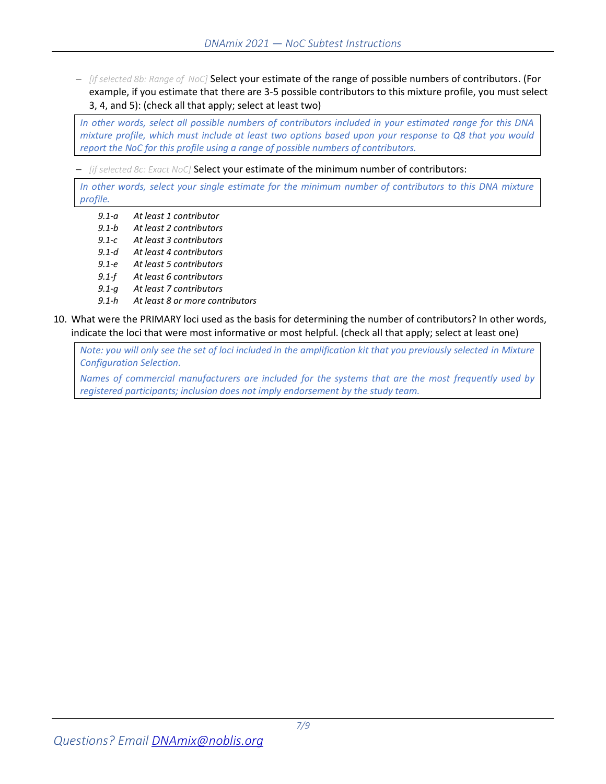− *[if selected 8b: Range of NoC]* Select your estimate of the range of possible numbers of contributors. (For example, if you estimate that there are 3-5 possible contributors to this mixture profile, you must select 3, 4, and 5): (check all that apply; select at least two)

*In other words, select all possible numbers of contributors included in your estimated range for this DNA mixture profile, which must include at least two options based upon your response to Q8 that you would report the NoC for this profile using a range of possible numbers of contributors.*

− *[if selected 8c: Exact NoC]* Select your estimate of the minimum number of contributors:

*In other words, select your single estimate for the minimum number of contributors to this DNA mixture profile.*

- *9.1-a At least 1 contributor*
- *9.1-b At least 2 contributors*
- *9.1-c At least 3 contributors*
- *9.1-d At least 4 contributors*
- *9.1-e At least 5 contributors*
- *9.1-f At least 6 contributors*
- *9.1-g At least 7 contributors*
- *9.1-h At least 8 or more contributors*
- 10. What were the PRIMARY loci used as the basis for determining the number of contributors? In other words, indicate the loci that were most informative or most helpful. (check all that apply; select at least one)

*Note: you will only see the set of loci included in the amplification kit that you previously selected in Mixture Configuration Selection.* 

*Names of commercial manufacturers are included for the systems that are the most frequently used by registered participants; inclusion does not imply endorsement by the study team.*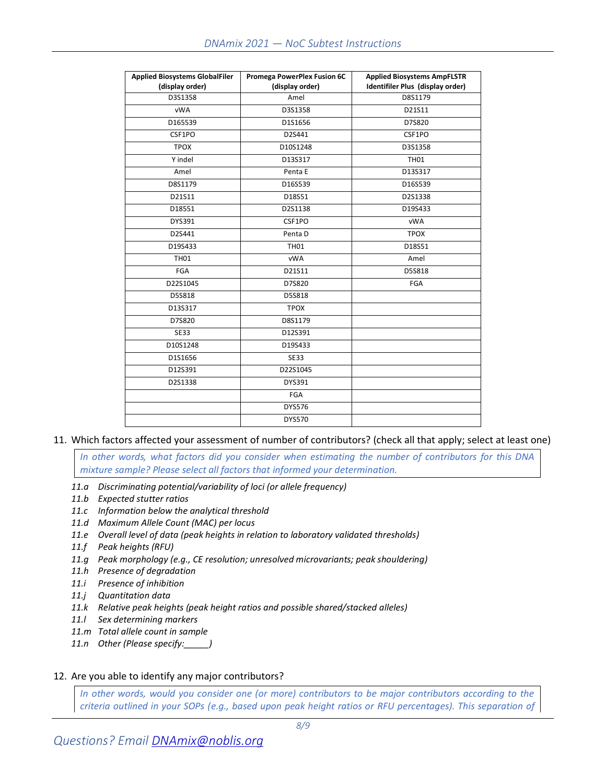| <b>Applied Biosystems GlobalFiler</b><br>(display order) | Promega PowerPlex Fusion 6C<br>(display order) | <b>Applied Biosystems AmpFLSTR</b><br>Identifiler Plus (display order) |
|----------------------------------------------------------|------------------------------------------------|------------------------------------------------------------------------|
| D3S1358                                                  | Amel                                           | D8S1179                                                                |
| <b>vWA</b>                                               | D3S1358                                        | D21S11                                                                 |
| D165539                                                  | D1S1656                                        | D7S820                                                                 |
| CSF1PO                                                   | D2S441                                         | CSF1PO                                                                 |
| <b>TPOX</b>                                              | D10S1248                                       | D3S1358                                                                |
| Y indel                                                  | D13S317                                        | <b>TH01</b>                                                            |
| Amel                                                     | Penta E                                        | D13S317                                                                |
| D8S1179                                                  | D16S539                                        | D16S539                                                                |
| D21S11                                                   | D18S51                                         | D2S1338                                                                |
| D18551                                                   | D2S1138                                        | D19S433                                                                |
| DYS391                                                   | CSF1PO                                         | <b>vWA</b>                                                             |
| D2S441                                                   | Penta D                                        | <b>TPOX</b>                                                            |
| D19S433                                                  | <b>TH01</b>                                    | D18S51                                                                 |
| <b>TH01</b>                                              | <b>vWA</b>                                     | Amel                                                                   |
| <b>FGA</b>                                               | D21S11                                         | D5S818                                                                 |
| D22S1045                                                 | D7S820                                         | FGA                                                                    |
| D5S818                                                   | D5S818                                         |                                                                        |
| D13S317                                                  | <b>TPOX</b>                                    |                                                                        |
| D7S820                                                   | D8S1179                                        |                                                                        |
| <b>SE33</b>                                              | D12S391                                        |                                                                        |
| D10S1248                                                 | D19S433                                        |                                                                        |
| D1S1656                                                  | <b>SE33</b>                                    |                                                                        |
| D12S391                                                  | D22S1045                                       |                                                                        |
| D2S1338                                                  | DYS391                                         |                                                                        |
|                                                          | FGA                                            |                                                                        |
|                                                          | <b>DYS576</b>                                  |                                                                        |
|                                                          | <b>DYS570</b>                                  |                                                                        |

11. Which factors affected your assessment of number of contributors? (check all that apply; select at least one)

*In other words, what factors did you consider when estimating the number of contributors for this DNA mixture sample? Please select all factors that informed your determination.*

- *11.a Discriminating potential/variability of loci (or allele frequency)*
- *11.b Expected stutter ratios*
- *11.c Information below the analytical threshold*
- *11.d Maximum Allele Count (MAC) per locus*
- *11.e Overall level of data (peak heights in relation to laboratory validated thresholds)*
- *11.f Peak heights (RFU)*
- *11.g Peak morphology (e.g., CE resolution; unresolved microvariants; peak shouldering)*
- *11.h Presence of degradation*
- *11.i Presence of inhibition*
- *11.j Quantitation data*
- *11.k Relative peak heights (peak height ratios and possible shared/stacked alleles)*
- *11.l Sex determining markers*
- *11.m Total allele count in sample*
- *11.n Other (Please specify:\_\_\_\_\_)*

### 12. Are you able to identify any major contributors?

*In other words, would you consider one (or more) contributors to be major contributors according to the criteria outlined in your SOPs (e.g., based upon peak height ratios or RFU percentages). This separation of*